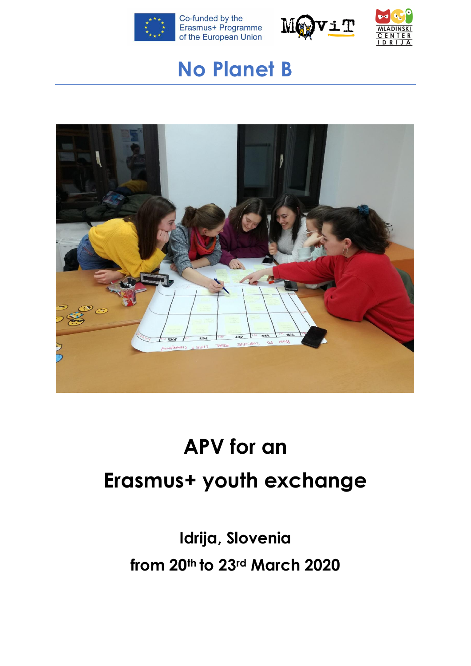





## **No Planet B**



# **APV for an Erasmus+ youth exchange**

**Idrija, Slovenia from 20th to 23rd March 2020**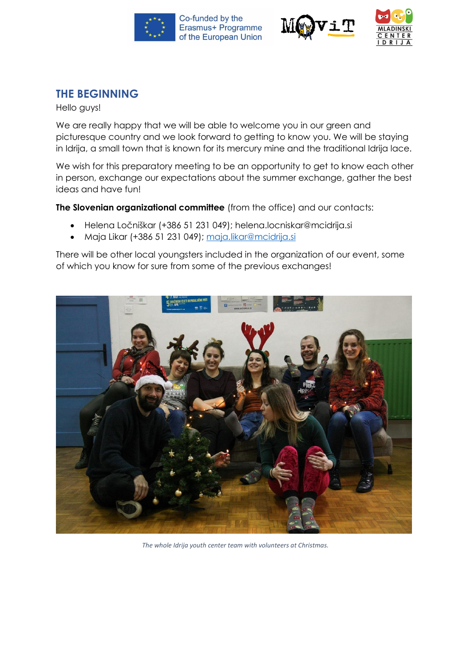





## **THE BEGINNING**

Hello guys!

We are really happy that we will be able to welcome you in our green and picturesque country and we look forward to getting to know you. We will be staying in Idrija, a small town that is known for its mercury mine and the traditional Idrija lace.

We wish for this preparatory meeting to be an opportunity to get to know each other in person, exchange our expectations about the summer exchange, gather the best ideas and have fun!

**The Slovenian organizational committee** (from the office) and our contacts:

- Helena Ločniškar (+386 51 231 049); [helena.locniskar@mcidrija.si](mailto:helena.locniskar@mcidrija.si)
- Maja Likar (+386 51 231 049); [maja.likar@mcidrija.si](mailto:maja.likar@mcidrija.si)

There will be other local youngsters included in the organization of our event, some of which you know for sure from some of the previous exchanges!



*The whole Idrija youth center team with volunteers at Christmas.*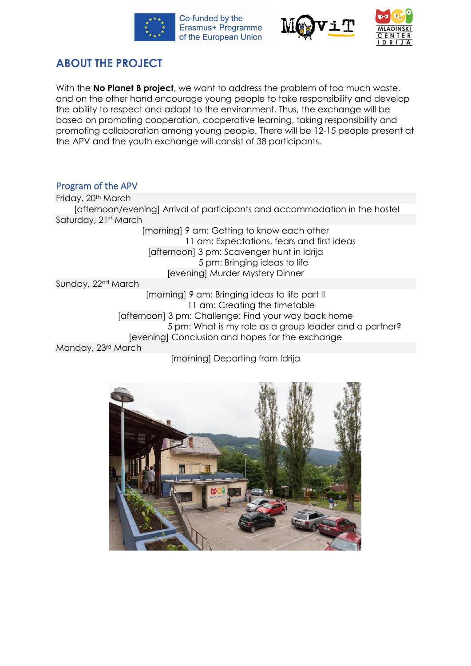





## **ABOUT THE PROJECT**

With the **No Planet B project**, we want to address the problem of too much waste, and on the other hand encourage young people to take responsibility and develop the ability to respect and adapt to the environment. Thus, the exchange will be based on promoting cooperation, cooperative learning, taking responsibility and promoting collaboration among young people. There will be 12-15 people present at the APV and the youth exchange will consist of 38 participants.

#### Program of the APV

Friday, 20<sup>th</sup> March [afternoon/evening] Arrival of participants and accommodation in the hostel Saturday, 21st March [morning] 9 am: Getting to know each other 11 am: Expectations, fears and first ideas [afternoon] 3 pm: Scavenger hunt in Idrija 5 pm: Bringing ideas to life [evening] Murder Mystery Dinner Sunday, 22nd March [morning] 9 am: Bringing ideas to life part II 11 am: Creating the timetable [afternoon] 3 pm: Challenge: Find your way back home 5 pm: What is my role as a group leader and a partner? [evening] Conclusion and hopes for the exchange Monday, 23rd March

## [morning] Departing from Idrija

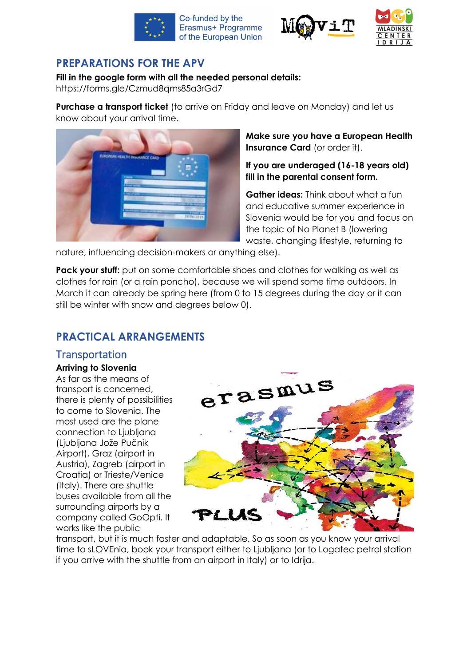





## **PREPARATIONS FOR THE APV**

#### **Fill in the google form with all the needed personal details:**

https://forms.gle/Czmud8qms85a3rGd7

**Purchase a transport ticket** (to arrive on Friday and leave on Monday) and let us know about your arrival time.



**Make sure you have a European Health Insurance Card** (or order it).

#### **If you are underaged (16-18 years old) fill in the parental consent form.**

**Gather ideas:** Think about what a fun and educative summer experience in Slovenia would be for you and focus on the topic of No Planet B (lowering waste, changing lifestyle, returning to

nature, influencing decision-makers or anything else).

**Pack your stuff:** put on some comfortable shoes and clothes for walking as well as clothes for rain (or a rain poncho), because we will spend some time outdoors. In March it can already be spring here (from 0 to 15 degrees during the day or it can still be winter with snow and degrees below 0).

## **PRACTICAL ARRANGEMENTS**

## **Transportation**

#### **Arriving to Slovenia**

As far as the means of transport is concerned, there is plenty of possibilities to come to Slovenia. The most used are the plane connection to Ljubljana (Ljubljana Jože Pučnik Airport), Graz (airport in Austria), Zagreb (airport in Croatia) or Trieste/Venice (Italy). There are shuttle buses available from all the surrounding airports by a company called GoOpti. It works like the public



transport, but it is much faster and adaptable. So as soon as you know your arrival time to sLOVEnia, book your transport either to Ljubljana (or to Logatec petrol station if you arrive with the shuttle from an airport in Italy) or to Idrija.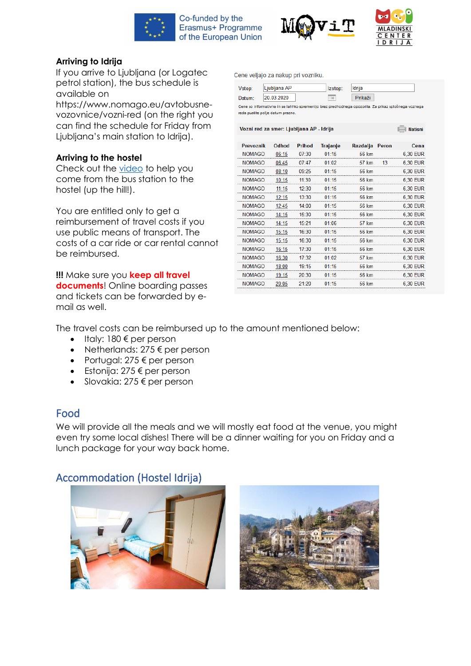





 $\overline{\phantom{a}}$  Natisni

#### **Arriving to Idrija**

If you arrive to Ljubljana (or Logatec petrol station), the bus schedule is available on

https://www.nomago.eu/avtobusnevozovnice/vozni-red (on the right you can find the schedule for Friday from Ljubljana's main station to Idrija).

#### **Arriving to the hostel**

Check out the [video](https://www.youtube.com/watch?v=bJ4M57UV7U4) to help you come from the bus station to the hostel (up the hill!).

You are entitled only to get a reimbursement of travel costs if you use public means of transport. The costs of a car ride or car rental cannot be reimbursed.

**!!!** Make sure you **keep all travel documents**! Online boarding passes and tickets can be forwarded by email as well.

Cene veljajo za nakup pri vozniku.

| Vstop:                                                                                               | Ljubljana AP | Izstop: | Idrija  |  |  |  |  |  |
|------------------------------------------------------------------------------------------------------|--------------|---------|---------|--|--|--|--|--|
| Datum:                                                                                               | 20.03.2020   |         | Prikaži |  |  |  |  |  |
| Cene so informativne in se lahhko spremenijo brez predhodnega opozorila. Za prikaz splošnega voznega |              |         |         |  |  |  |  |  |
| reda pustite polje datum prazno.                                                                     |              |         |         |  |  |  |  |  |

Vozni red za smer: Ljubljana AP - Idrija

| <b>Prevoznik</b> | <b>Odhod</b> | <b>Prihod</b> | Trajanje  | Razdalja Peron |    | Cena     |
|------------------|--------------|---------------|-----------|----------------|----|----------|
| <b>NOMAGO</b>    | 06:15        | 07:30         | 01:15     | 56 km          |    | 6,30 EUR |
| <b>NOMAGO</b>    | 06:45        | 07:47         | 01:02     | 57 km          | 13 | 6,30 EUR |
| <b>NOMAGO</b>    | 08:10        | 09.25         | 01:15     | 56 km          |    | 6,30 EUR |
| <b>NOMAGO</b>    | $10 - 15$    | 11:30         | $01 - 15$ | 56 km          |    | 6,30 EUR |
| <b>NOMAGO</b>    | 11:15        | 12:30         | 01:15     | 56 km          |    | 6,30 EUR |
| <b>NOMAGO</b>    | 12:15        | 13:30         | $01 - 15$ | 56 km          |    | 6.30 EUR |
| <b>NOMAGO</b>    | 12:45        | 14.00         | $01 - 15$ | 56 km          |    | 6.30 EUR |
| <b>NOMAGO</b>    | 14:15        | 15:30         | 01:15     | 56 km          |    | 6.30 EUR |
| <b>NOMAGO</b>    | 14:15        | 15.21         | 01.06     | 57 km          |    | 6,30 EUR |
| <b>NOMAGO</b>    | 15:15        | 16:30         | 01:15     | 56 km          |    | 6,30 EUR |
| <b>NOMAGO</b>    | 15:15        | 16:30         | 01:15     | 56 km          |    | 6,30 EUR |
| <b>NOMAGO</b>    | 16:15        | 17:30         | $01 - 15$ | 56 km          |    | 6,30 EUR |
| <b>NOMAGO</b>    | 16:30        | 17-32         | $01-02$   | 57 km          |    | 6,30 EUR |
| <b>NOMAGO</b>    | 18:00        | $19 - 15$     | $01 - 15$ | 56 km          |    | 6.30 EUR |
| <b>NOMAGO</b>    | $19 - 15$    | 20:30         | $01 - 15$ | 56 km          |    | 6.30 EUR |
| NOMAGO           | 05           | 21.20         | 01:15     | 56 km          |    | 6.30 EUR |

The travel costs can be reimbursed up to the amount mentioned below:

- Italy:  $180 \text{ } \in \mathsf{per}$  person
- Netherlands:  $275 \text{ } \in$  per person
- Portugal:  $275 \text{ } \infty$  per person
- Estonija: 275 € per person
- Slovakia: 275  $\epsilon$  per person

## Food

We will provide all the meals and we will mostly eat food at the venue, you might even try some local dishes! There will be a dinner waiting for you on Friday and a lunch package for your way back home.

## Accommodation (Hostel Idrija)



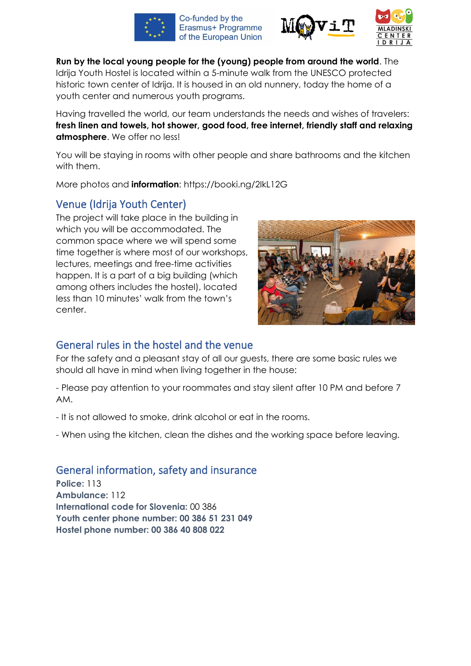





**Run by the local young people for the (young) people from around the world**. The Idrija Youth Hostel is located within a 5-minute walk from the UNESCO protected historic town center of Idrija. It is housed in an old nunnery, today the home of a youth center and numerous youth programs.

Having travelled the world, our team understands the needs and wishes of travelers: **fresh linen and towels, hot shower, good food, free internet, friendly staff and relaxing atmosphere**. We offer no less!

You will be staying in rooms with other people and share bathrooms and the kitchen with them.

More photos and **information**: https://booki.ng/2IkL12G

## Venue (Idrija Youth Center)

The project will take place in the building in which you will be accommodated. The common space where we will spend some time together is where most of our workshops, lectures, meetings and free-time activities happen. It is a part of a big building (which among others includes the hostel), located less than 10 minutes' walk from the town's center.



## General rules in the hostel and the venue

For the safety and a pleasant stay of all our guests, there are some basic rules we should all have in mind when living together in the house:

- Please pay attention to your roommates and stay silent after 10 PM and before 7 AM.

- It is not allowed to smoke, drink alcohol or eat in the rooms.

- When using the kitchen, clean the dishes and the working space before leaving.

## General information, safety and insurance

**Police:** 113 **Ambulance:** 112 **International code for Slovenia:** 00 386 **Youth center phone number: 00 386 51 231 049 Hostel phone number: 00 386 40 808 022**